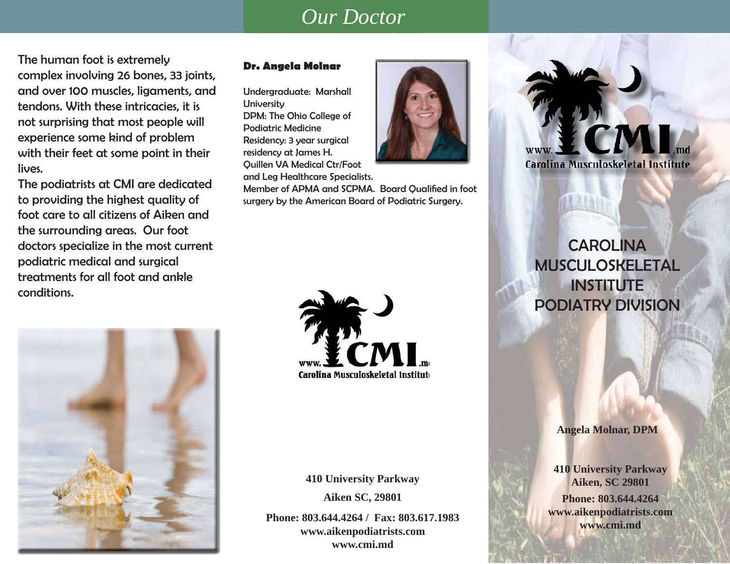## *Our Doctor*

The human foot is extremely complex involving 26 bones, 33 joints, and over 100 muscles, ligaments, and tendons. With these intricacies, it is not surprising that most people will experience some kind of problem with their feet at some point in their lives.

The podiatrists at CMI are dedicated to providing the highest quality of foot care to all citizens of Aiken and the surrounding areas. Our foot doctors specialize in the most current podiatric medical and surgical treatments for all foot and ankle conditions.

## **Dr. Angela Molnar**

Undergraduate: Marshall **University** DPM: The Ohio College of Podiatric MedicineResidency: 3 year surgical residency at James H. Quillen VA Medical Ctr/Foot

and Leg Healthcare Specialists.

Member of APMA and SCPMA. Board Qualified in foot surgery by the American Board of Podiatric Surgery.



Carolina Musculoskeletal Institute

**CAROLINA** MUSCULOSKELETAL**INSTITUTE** PODIATRY DIVISION





**410 University Parkway Aiken SC, 29801**

**Phone: 803.644.4264 / Fax: 803.617.1983www.aikenpodiatrists.com www.cmi.md**

### **Angela Molnar, DPM**

**Phone: 803.644.4264www.aikenpodiatrists.com www.cmi.md 410 University Parkway Aiken, SC 29801**